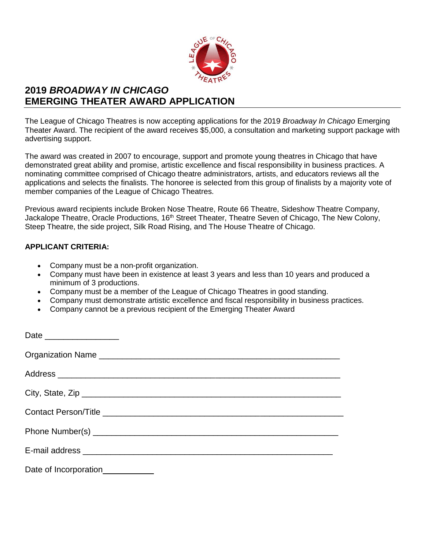

# **2019** *BROADWAY IN CHICAGO* **EMERGING THEATER AWARD APPLICATION**

The League of Chicago Theatres is now accepting applications for the 2019 *Broadway In Chicago* Emerging Theater Award. The recipient of the award receives \$5,000, a consultation and marketing support package with advertising support.

The award was created in 2007 to encourage, support and promote young theatres in Chicago that have demonstrated great ability and promise, artistic excellence and fiscal responsibility in business practices. A nominating committee comprised of Chicago theatre administrators, artists, and educators reviews all the applications and selects the finalists. The honoree is selected from this group of finalists by a majority vote of member companies of the League of Chicago Theatres.

Previous award recipients include Broken Nose Theatre, Route 66 Theatre, Sideshow Theatre Company, Jackalope Theatre, Oracle Productions, 16<sup>th</sup> Street Theater, Theatre Seven of Chicago, The New Colony, Steep Theatre, the side project, Silk Road Rising, and The House Theatre of Chicago.

### **APPLICANT CRITERIA:**

- Company must be a non-profit organization.
- Company must have been in existence at least 3 years and less than 10 years and produced a minimum of 3 productions.
- Company must be a member of the League of Chicago Theatres in good standing.
- Company must demonstrate artistic excellence and fiscal responsibility in business practices.
- Company cannot be a previous recipient of the Emerging Theater Award

| Date ____________________        |
|----------------------------------|
|                                  |
|                                  |
| City, State, Zip                 |
|                                  |
|                                  |
|                                  |
| Date of Incorporation___________ |